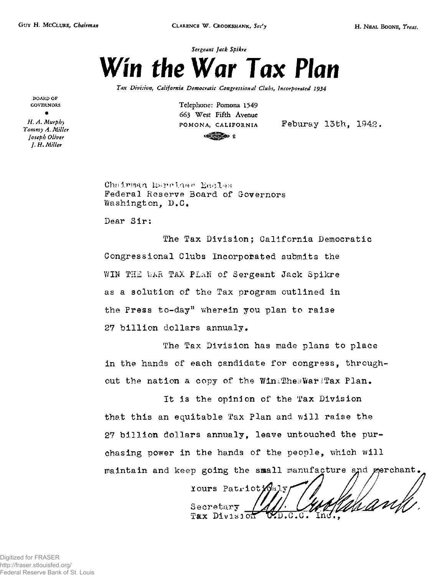

*Tax Division, California Democratic Congressional Clubs, Incorporated 1934* 

**BOARD OF GOVERNORS •** 

*H. A. Murphy Tommy A. Miller Joseph Oliver J. H.Miller* 

**Telephone: Pomona 1549 663 West Fifth Avenue 2** 

POMONA, CALIFORNIA Feburay 13th, 1942.

Chairman Marriner Eccles Federal Reserve Board of Governors Washington, D.C.

Dear Sir:

The Tax Division; California Democratic Congressional Clubs Incorporated submits the WIN THE WAR TAX PLAN of Sergeant Jack Spikre as a solution of the Tax program outlined in the Press to-day" wherein you plan to raise 27 billion dollars annualy.

The Tax Division has made plans to place in the hands of each candidate for congress, throughout the nation a copy of the WiniTheaWar!Tax Plan.

It is the opinion of the Tax Division that this an equitable Tax Plan and will raise the 27 billion dollars annualy, leave untouched the purchasing power in the hands of the people, which will maintain and keep going the small manufacture and merchant.

Yours Patrioty 4ly hanh Secretary Tax Division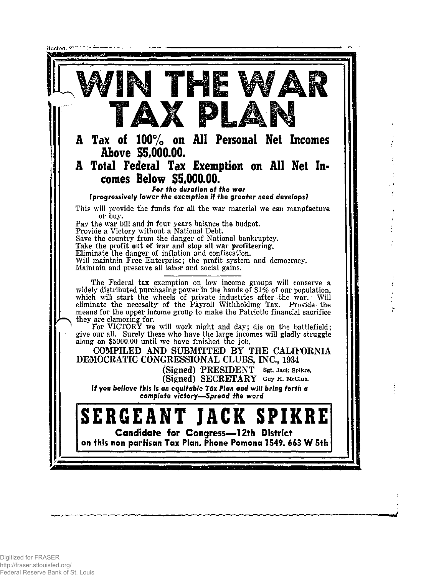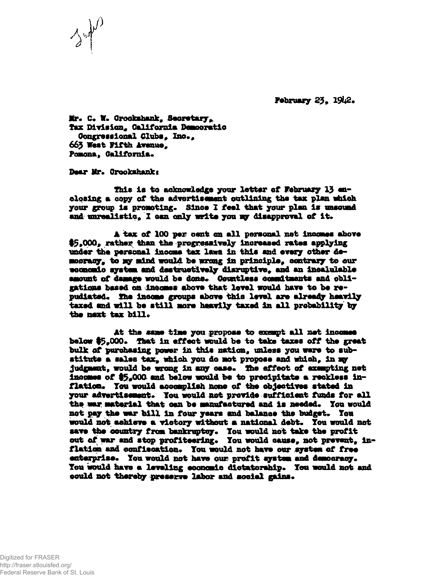**February 23,** 

**Br\* C. X» Grookshank, Secretary, fax Division, California Democratic Congressional Clubs, Inc., 663 West Fifth Avenue,<br>Pomona, Galifornia.** 

**Dear Mr. Grookshank:** 

*3* 

**This la to acknowledge your letter of February 13 closing a copy of the advertisement outlining the tax plan which your group la pronotlng\* Since 1 feel that your plan la unsound**  and unrealistic, I can only write you my disapproval of it.

**A tax of 100 per cent on all personal net incomes above #\$9000» rather than the progressively increased rates allying under the personal income tax lews In this and every other democracy, to wy mind would be vrcmg la principle, contrary to our economic system and destructively diaruptive, and an incalulable** amount of damage would be done. Countless commitments and obli**gations baaed on incomes above that level would have to be re\* pudiated. She income groups above this level are already heavily taxed and will be still wore heavily taxed In all probability by ifee next tax bill.** 

At the same time you propose to exempt all net incomes **below #5\*000. that in effeot would be to take taxes off the great bulk of purchasing power in this nation, unless you were to substitute a sales tax, which you do not propose and which. In sqr judgaant, would be wrong in any case. She effeot of exempting net**  incomes of \$5<sub>\*</sub>000 and below would be to precipitate a reckless in**flation. Ton would aoeoapllsh none of the objectives stated is your advertisement. Ton would not provide sufficient funds for all the war material that oan be manufactured and Is needed. Tou would not pay the war bill in four years and balance the budget. Ton**  would not achieve a victory without a national debt. You would not **save the oountry** *tram* **bankruptcy. Tou would not take the profit out of war and stop profiteering. Tou would cause, not prevent, in\* flation and oonfiaoation. Tou would not have our system of free enterprise. Tou would not have our profit system and democracy. Ton would have a leveling eoonomlc dictatorship. Ton would not and could not thereby preserve labor and social gains.**